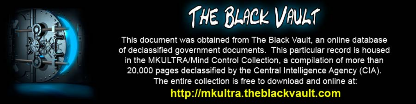

This document was obtained from The Black Vault, an online database of declassified government documents. This particular record is housed in the MKULTRA/Mind Control Collection, a compilation of more than 20,000 pages declassified by the Central Intelligence Agency (CIA). The entire collection is free to download and online at: http://mkultra.theblackvault.com